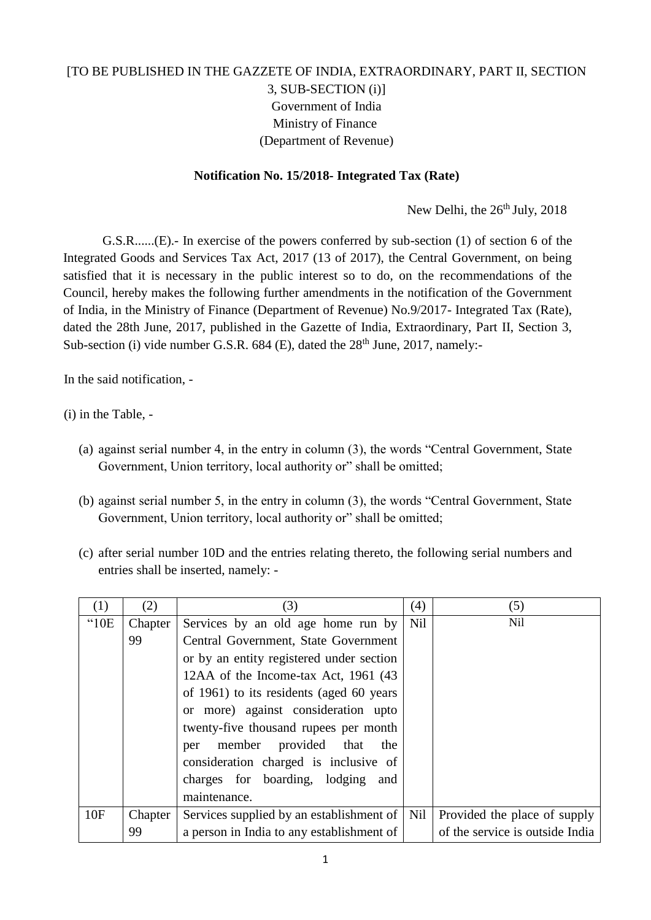## [TO BE PUBLISHED IN THE GAZZETE OF INDIA, EXTRAORDINARY, PART II, SECTION 3, SUB-SECTION (i)] Government of India Ministry of Finance (Department of Revenue)

## **Notification No. 15/2018- Integrated Tax (Rate)**

New Delhi, the 26<sup>th</sup> July, 2018

G.S.R......(E).- In exercise of the powers conferred by sub-section (1) of section 6 of the Integrated Goods and Services Tax Act, 2017 (13 of 2017), the Central Government, on being satisfied that it is necessary in the public interest so to do, on the recommendations of the Council, hereby makes the following further amendments in the notification of the Government of India, in the Ministry of Finance (Department of Revenue) No.9/2017- Integrated Tax (Rate), dated the 28th June, 2017, published in the Gazette of India, Extraordinary, Part II, Section 3, Sub-section (i) vide number G.S.R.  $684$  (E), dated the  $28<sup>th</sup>$  June, 2017, namely:-

In the said notification, -

(i) in the Table, -

- (a) against serial number 4, in the entry in column (3), the words "Central Government, State Government, Union territory, local authority or" shall be omitted;
- (b) against serial number 5, in the entry in column (3), the words "Central Government, State Government, Union territory, local authority or" shall be omitted;
- (c) after serial number 10D and the entries relating thereto, the following serial numbers and entries shall be inserted, namely: -

| (1)           | (2)     | (3)                                       | (4)        | (5)                             |
|---------------|---------|-------------------------------------------|------------|---------------------------------|
| $^{\circ}10E$ | Chapter | Services by an old age home run by        | <b>Nil</b> | Nil                             |
|               | 99      | Central Government, State Government      |            |                                 |
|               |         | or by an entity registered under section  |            |                                 |
|               |         | 12AA of the Income-tax Act, 1961 (43)     |            |                                 |
|               |         | of 1961) to its residents (aged 60 years  |            |                                 |
|               |         | or more) against consideration upto       |            |                                 |
|               |         | twenty-five thousand rupees per month     |            |                                 |
|               |         | member<br>provided that<br>the<br>per     |            |                                 |
|               |         | consideration charged is inclusive of     |            |                                 |
|               |         | charges for boarding, lodging<br>and      |            |                                 |
|               |         | maintenance.                              |            |                                 |
| 10F           | Chapter | Services supplied by an establishment of  | Nil        | Provided the place of supply    |
|               | 99      | a person in India to any establishment of |            | of the service is outside India |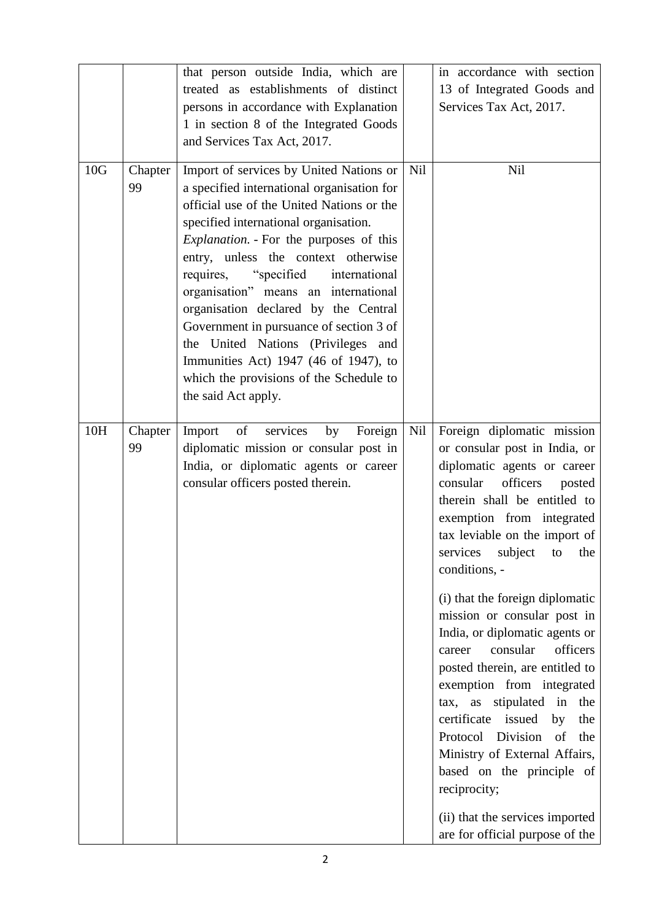|     |               | that person outside India, which are<br>treated as establishments of distinct<br>persons in accordance with Explanation<br>1 in section 8 of the Integrated Goods<br>and Services Tax Act, 2017.                                                                                                                                                                                                                                                                                                                                                                                              |     | in accordance with section<br>13 of Integrated Goods and<br>Services Tax Act, 2017.                                                                                                                                                                                                                                                                                                                                                                                                                                                                                                                                                                                                                                                         |
|-----|---------------|-----------------------------------------------------------------------------------------------------------------------------------------------------------------------------------------------------------------------------------------------------------------------------------------------------------------------------------------------------------------------------------------------------------------------------------------------------------------------------------------------------------------------------------------------------------------------------------------------|-----|---------------------------------------------------------------------------------------------------------------------------------------------------------------------------------------------------------------------------------------------------------------------------------------------------------------------------------------------------------------------------------------------------------------------------------------------------------------------------------------------------------------------------------------------------------------------------------------------------------------------------------------------------------------------------------------------------------------------------------------------|
| 10G | Chapter<br>99 | Import of services by United Nations or<br>a specified international organisation for<br>official use of the United Nations or the<br>specified international organisation.<br><i>Explanation.</i> - For the purposes of this<br>entry, unless the context otherwise<br>requires,<br>"specified"<br>international<br>organisation" means an international<br>organisation declared by the Central<br>Government in pursuance of section 3 of<br>the United Nations (Privileges and<br>Immunities Act) 1947 (46 of 1947), to<br>which the provisions of the Schedule to<br>the said Act apply. | Nil | <b>Nil</b>                                                                                                                                                                                                                                                                                                                                                                                                                                                                                                                                                                                                                                                                                                                                  |
| 10H | Chapter<br>99 | of<br>services<br>Import<br>by<br>Foreign<br>diplomatic mission or consular post in<br>India, or diplomatic agents or career<br>consular officers posted therein.                                                                                                                                                                                                                                                                                                                                                                                                                             | Nil | Foreign diplomatic mission<br>or consular post in India, or<br>diplomatic agents or career<br>consular<br>officers<br>posted<br>therein shall be entitled to<br>exemption from integrated<br>tax leviable on the import of<br>services subject to the<br>conditions, -<br>(i) that the foreign diplomatic<br>mission or consular post in<br>India, or diplomatic agents or<br>consular<br>officers<br>career<br>posted therein, are entitled to<br>exemption from integrated<br>stipulated in the<br>tax, as<br>certificate<br>issued<br>by<br>the<br>Protocol<br>Division<br>of<br>the<br>Ministry of External Affairs,<br>based on the principle of<br>reciprocity;<br>(ii) that the services imported<br>are for official purpose of the |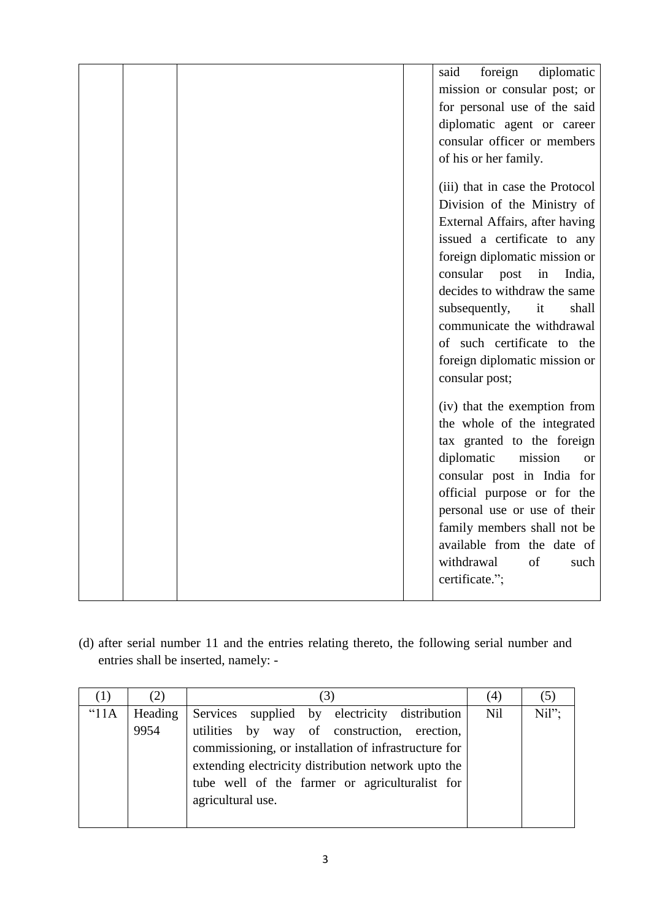|  |  | foreign<br>diplomatic<br>said    |
|--|--|----------------------------------|
|  |  | mission or consular post; or     |
|  |  | for personal use of the said     |
|  |  | diplomatic agent or career       |
|  |  | consular officer or members      |
|  |  | of his or her family.            |
|  |  | (iii) that in case the Protocol  |
|  |  | Division of the Ministry of      |
|  |  | External Affairs, after having   |
|  |  | issued a certificate to any      |
|  |  | foreign diplomatic mission or    |
|  |  | consular<br>in<br>post<br>India, |
|  |  | decides to withdraw the same     |
|  |  | subsequently,<br>it<br>shall     |
|  |  | communicate the withdrawal       |
|  |  | of such certificate to the       |
|  |  | foreign diplomatic mission or    |
|  |  | consular post;                   |
|  |  | (iv) that the exemption from     |
|  |  | the whole of the integrated      |
|  |  | tax granted to the foreign       |
|  |  | diplomatic<br>mission<br>or      |
|  |  | consular post in India for       |
|  |  | official purpose or for the      |
|  |  | personal use or use of their     |
|  |  | family members shall not be      |
|  |  | available from the date of       |
|  |  | withdrawal<br>of<br>such         |
|  |  | certificate.";                   |
|  |  |                                  |

(d) after serial number 11 and the entries relating thereto, the following serial number and entries shall be inserted, namely: -

| $\left(1\right)$ | (2)     | $\left(3\right)$                                                                                                                                                                                                                  | (4)        | (5)      |
|------------------|---------|-----------------------------------------------------------------------------------------------------------------------------------------------------------------------------------------------------------------------------------|------------|----------|
| "11A             | Heading | Services supplied by electricity distribution                                                                                                                                                                                     | <b>Nil</b> | $Nil$ "; |
|                  | 9954    | utilities by way of construction, erection,<br>commissioning, or installation of infrastructure for<br>extending electricity distribution network upto the<br>tube well of the farmer or agriculturalist for<br>agricultural use. |            |          |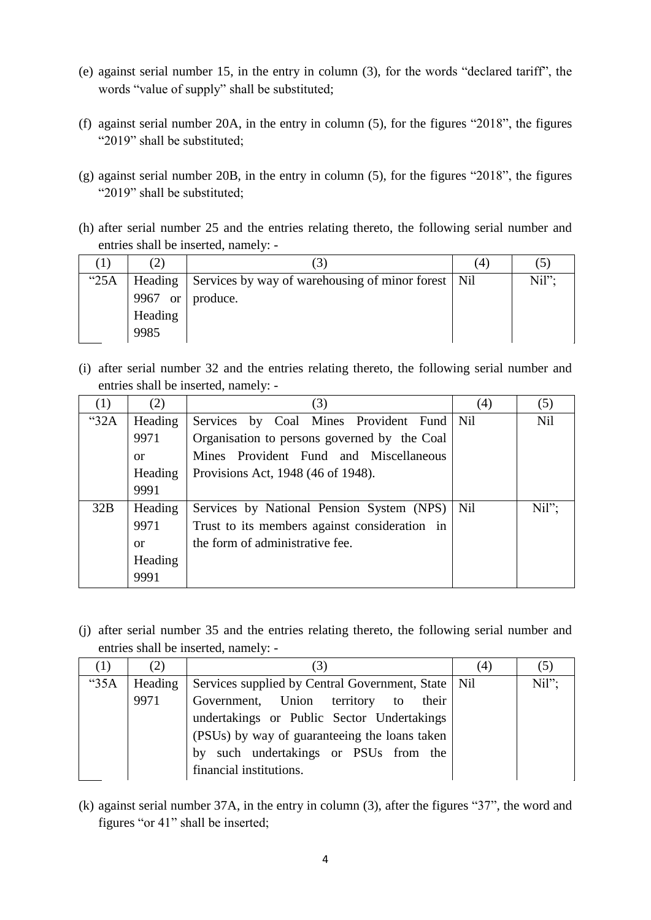- (e) against serial number 15, in the entry in column (3), for the words "declared tariff", the words "value of supply" shall be substituted;
- (f) against serial number 20A, in the entry in column (5), for the figures "2018", the figures "2019" shall be substituted;
- (g) against serial number 20B, in the entry in column (5), for the figures "2018", the figures "2019" shall be substituted;
- (h) after serial number 25 and the entries relating thereto, the following serial number and entries shall be inserted, namely: -

|         | (2)     |                                                            | (4) | (5)   |
|---------|---------|------------------------------------------------------------|-----|-------|
| " $25A$ |         | Heading Services by way of warehousing of minor forest Nil |     | Nil"; |
|         | 9967 or | produce.                                                   |     |       |
|         | Heading |                                                            |     |       |
|         | 9985    |                                                            |     |       |

(i) after serial number 32 and the entries relating thereto, the following serial number and entries shall be inserted, namely: -

| (1)     | (2)           | (3)                                           | (4) | (5)        |
|---------|---------------|-----------------------------------------------|-----|------------|
| " $32A$ | Heading       | Services by Coal Mines Provident Fund   Nil   |     | <b>Nil</b> |
|         | 9971          | Organisation to persons governed by the Coal  |     |            |
|         | <sub>or</sub> | Mines Provident Fund and Miscellaneous        |     |            |
|         | Heading       | Provisions Act, 1948 (46 of 1948).            |     |            |
|         | 9991          |                                               |     |            |
| 32B     | Heading       | Services by National Pension System (NPS)     | Nil | Nil"       |
|         | 9971          | Trust to its members against consideration in |     |            |
|         | <sub>or</sub> | the form of administrative fee.               |     |            |
|         | Heading       |                                               |     |            |
|         | 9991          |                                               |     |            |

(j) after serial number 35 and the entries relating thereto, the following serial number and entries shall be inserted, namely: -

|      | (2)     | (3)                                                  | 4 | (C)  |
|------|---------|------------------------------------------------------|---|------|
| "35A | Heading | Services supplied by Central Government, State   Nil |   | Nil" |
|      | 9971    | Government, Union territory to<br>their              |   |      |
|      |         | undertakings or Public Sector Undertakings           |   |      |
|      |         | (PSUs) by way of guaranteeing the loans taken        |   |      |
|      |         | by such undertakings or PSUs from the                |   |      |
|      |         | financial institutions.                              |   |      |

(k) against serial number 37A, in the entry in column (3), after the figures "37", the word and figures "or 41" shall be inserted;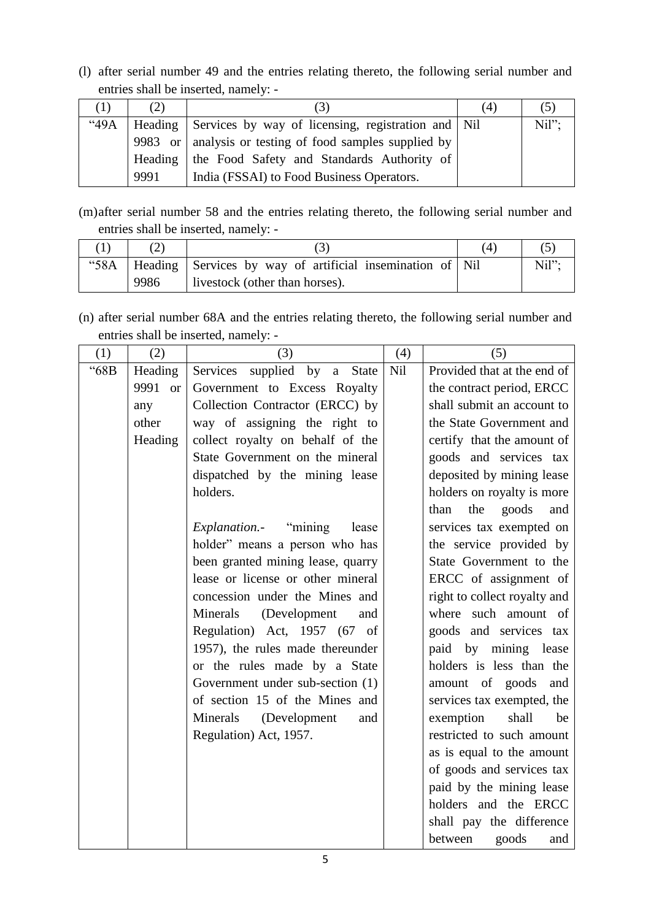(l) after serial number 49 and the entries relating thereto, the following serial number and entries shall be inserted, namely: -

| <sup>(1)</sup> | (2)  | 3                                                          | (4) |          |
|----------------|------|------------------------------------------------------------|-----|----------|
| "49A           |      | Heading Services by way of licensing, registration and Nil |     | $Nil"$ : |
|                |      | 9983 or   analysis or testing of food samples supplied by  |     |          |
|                |      | Heading   the Food Safety and Standards Authority of       |     |          |
|                | 9991 | India (FSSAI) to Food Business Operators.                  |     |          |

(m)after serial number 58 and the entries relating thereto, the following serial number and entries shall be inserted, namely: -

|      | "58A   Heading   Services by way of artificial insemination of   Nil | Nil": |
|------|----------------------------------------------------------------------|-------|
| 9986 | livestock (other than horses).                                       |       |

<sup>(</sup>n) after serial number 68A and the entries relating thereto, the following serial number and entries shall be inserted, namely: -

| (1)  | (2)               | (3)                                   | (4) | (5)                          |
|------|-------------------|---------------------------------------|-----|------------------------------|
| "68B | Heading           | supplied by<br>Services<br>a State    | Nil | Provided that at the end of  |
|      | 9991<br><b>or</b> | Government to Excess Royalty          |     | the contract period, ERCC    |
|      | any               | Collection Contractor (ERCC) by       |     | shall submit an account to   |
|      | other             | way of assigning the right to         |     | the State Government and     |
|      | Heading           | collect royalty on behalf of the      |     | certify that the amount of   |
|      |                   | State Government on the mineral       |     | goods and services tax       |
|      |                   | dispatched by the mining lease        |     | deposited by mining lease    |
|      |                   | holders.                              |     | holders on royalty is more   |
|      |                   |                                       |     | than<br>the<br>goods<br>and  |
|      |                   | <i>Explanation.</i> "mining"<br>lease |     | services tax exempted on     |
|      |                   | holder" means a person who has        |     | the service provided by      |
|      |                   | been granted mining lease, quarry     |     | State Government to the      |
|      |                   | lease or license or other mineral     |     | ERCC of assignment of        |
|      |                   | concession under the Mines and        |     | right to collect royalty and |
|      |                   | Minerals<br>(Development<br>and       |     | where such amount of         |
|      |                   | Regulation) Act, 1957 (67 of          |     | goods and services tax       |
|      |                   | 1957), the rules made thereunder      |     | paid by mining lease         |
|      |                   | or the rules made by a State          |     | holders is less than the     |
|      |                   | Government under sub-section (1)      |     | amount of goods<br>and       |
|      |                   | of section 15 of the Mines and        |     | services tax exempted, the   |
|      |                   | Minerals<br>(Development<br>and       |     | exemption<br>shall<br>be     |
|      |                   | Regulation) Act, 1957.                |     | restricted to such amount    |
|      |                   |                                       |     | as is equal to the amount    |
|      |                   |                                       |     | of goods and services tax    |
|      |                   |                                       |     | paid by the mining lease     |
|      |                   |                                       |     | holders and the ERCC         |
|      |                   |                                       |     | shall pay the difference     |
|      |                   |                                       |     | between<br>goods<br>and      |